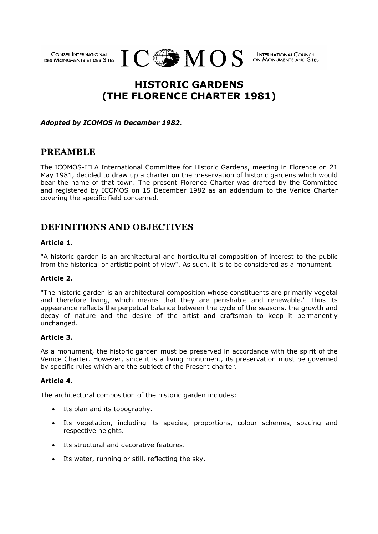

International Council<br>On Monuments and Sites

# **HISTORIC GARDENS (THE FLORENCE CHARTER 1981)**

*Adopted by ICOMOS in December 1982.* 

# **PREAMBLE**

The ICOMOS-IFLA International Committee for Historic Gardens, meeting in Florence on 21 May 1981, decided to draw up a charter on the preservation of historic gardens which would bear the name of that town. The present Florence Charter was drafted by the Committee and registered by ICOMOS on 15 December 1982 as an addendum to the Venice Charter covering the specific field concerned.

# **DEFINITIONS AND OBJECTIVES**

#### **Article 1.**

"A historic garden is an architectural and horticultural composition of interest to the public from the historical or artistic point of view". As such, it is to be considered as a monument.

#### **Article 2.**

"The historic garden is an architectural composition whose constituents are primarily vegetal and therefore living, which means that they are perishable and renewable." Thus its appearance reflects the perpetual balance between the cycle of the seasons, the growth and decay of nature and the desire of the artist and craftsman to keep it permanently unchanged.

#### **Article 3.**

As a monument, the historic garden must be preserved in accordance with the spirit of the Venice Charter. However, since it is a living monument, its preservation must be governed by specific rules which are the subject of the Present charter.

#### **Article 4.**

The architectural composition of the historic garden includes:

- Its plan and its topography.
- Its vegetation, including its species, proportions, colour schemes, spacing and respective heights.
- Its structural and decorative features.
- Its water, running or still, reflecting the sky.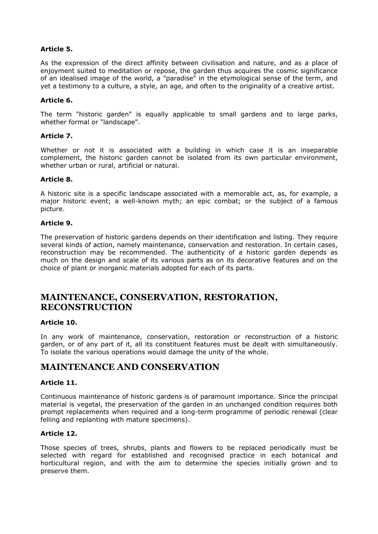## **Article 5.**

As the expression of the direct affinity between civilisation and nature, and as a place of enjoyment suited to meditation or repose, the garden thus acquires the cosmic significance of an idealised image of the world, a "paradise" in the etymological sense of the term, and yet a testimony to a culture, a style, an age, and often to the originality of a creative artist.

#### **Article 6.**

The term "historic garden" is equally applicable to small gardens and to large parks, whether formal or "landscape".

#### **Article 7.**

Whether or not it is associated with a building in which case it is an inseparable complement, the historic garden cannot be isolated from its own particular environment, whether urban or rural, artificial or natural.

#### **Article 8.**

A historic site is a specific landscape associated with a memorable act, as, for example, a major historic event; a well-known myth; an epic combat; or the subject of a famous picture.

#### **Article 9.**

The preservation of historic gardens depends on their identification and listing. They require several kinds of action, namely maintenance, conservation and restoration. In certain cases, reconstruction may be recommended. The authenticity of a historic garden depends as much on the design and scale of its various parts as on its decorative features and on the choice of plant or inorganic materials adopted for each of its parts.

# **MAINTENANCE, CONSERVATION, RESTORATION, RECONSTRUCTION**

### **Article 10.**

In any work of maintenance, conservation, restoration or reconstruction of a historic garden, or of any part of it, all its constituent features must be dealt with simultaneously. To isolate the various operations would damage the unity of the whole.

# **MAINTENANCE AND CONSERVATION**

#### **Article 11.**

Continuous maintenance of historic gardens is of paramount importance. Since the principal material is vegetal, the preservation of the garden in an unchanged condition requires both prompt replacements when required and a long-term programme of periodic renewal (clear felling and replanting with mature specimens).

#### **Article 12.**

Those species of trees, shrubs, plants and flowers to be replaced periodically must be selected with regard for established and recognised practice in each botanical and horticultural region, and with the aim to determine the species initially grown and to preserve them.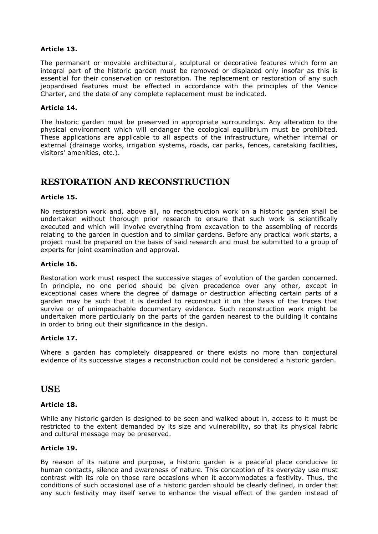### **Article 13.**

The permanent or movable architectural, sculptural or decorative features which form an integral part of the historic garden must be removed or displaced only insofar as this is essential for their conservation or restoration. The replacement or restoration of any such jeopardised features must be effected in accordance with the principles of the Venice Charter, and the date of any complete replacement must be indicated.

### **Article 14.**

The historic garden must be preserved in appropriate surroundings. Any alteration to the physical environment which will endanger the ecological equilibrium must be prohibited. These applications are applicable to all aspects of the infrastructure, whether internal or external (drainage works, irrigation systems, roads, car parks, fences, caretaking facilities, visitors' amenities, etc.).

# **RESTORATION AND RECONSTRUCTION**

#### **Article 15.**

No restoration work and, above all, no reconstruction work on a historic garden shall be undertaken without thorough prior research to ensure that such work is scientifically executed and which will involve everything from excavation to the assembling of records relating to the garden in question and to similar gardens. Before any practical work starts, a project must be prepared on the basis of said research and must be submitted to a group of experts for joint examination and approval.

#### **Article 16.**

Restoration work must respect the successive stages of evolution of the garden concerned. In principle, no one period should be given precedence over any other, except in exceptional cases where the degree of damage or destruction affecting certain parts of a garden may be such that it is decided to reconstruct it on the basis of the traces that survive or of unimpeachable documentary evidence. Such reconstruction work might be undertaken more particularly on the parts of the garden nearest to the building it contains in order to bring out their significance in the design.

#### **Article 17.**

Where a garden has completely disappeared or there exists no more than conjectural evidence of its successive stages a reconstruction could not be considered a historic garden.

# **USE**

#### **Article 18.**

While any historic garden is designed to be seen and walked about in, access to it must be restricted to the extent demanded by its size and vulnerability, so that its physical fabric and cultural message may be preserved.

## **Article 19.**

By reason of its nature and purpose, a historic garden is a peaceful place conducive to human contacts, silence and awareness of nature. This conception of its everyday use must contrast with its role on those rare occasions when it accommodates a festivity. Thus, the conditions of such occasional use of a historic garden should be clearly defined, in order that any such festivity may itself serve to enhance the visual effect of the garden instead of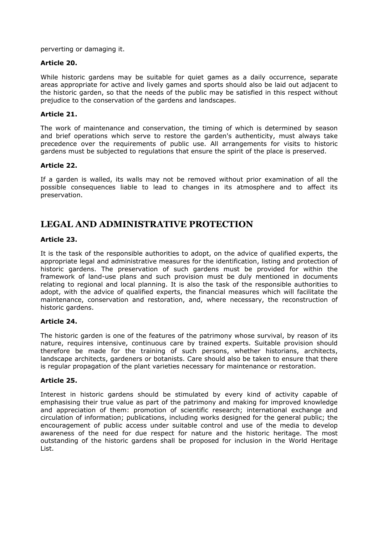perverting or damaging it.

### **Article 20.**

While historic gardens may be suitable for quiet games as a daily occurrence, separate areas appropriate for active and lively games and sports should also be laid out adjacent to the historic garden, so that the needs of the public may be satisfied in this respect without prejudice to the conservation of the gardens and landscapes.

#### **Article 21.**

The work of maintenance and conservation, the timing of which is determined by season and brief operations which serve to restore the garden's authenticity, must always take precedence over the requirements of public use. All arrangements for visits to historic gardens must be subjected to regulations that ensure the spirit of the place is preserved.

#### **Article 22.**

If a garden is walled, its walls may not be removed without prior examination of all the possible consequences liable to lead to changes in its atmosphere and to affect its preservation.

# **LEGAL AND ADMINISTRATIVE PROTECTION**

### **Article 23.**

It is the task of the responsible authorities to adopt, on the advice of qualified experts, the appropriate legal and administrative measures for the identification, listing and protection of historic gardens. The preservation of such gardens must be provided for within the framework of land-use plans and such provision must be duly mentioned in documents relating to regional and local planning. It is also the task of the responsible authorities to adopt, with the advice of qualified experts, the financial measures which will facilitate the maintenance, conservation and restoration, and, where necessary, the reconstruction of historic gardens.

### **Article 24.**

The historic garden is one of the features of the patrimony whose survival, by reason of its nature, requires intensive, continuous care by trained experts. Suitable provision should therefore be made for the training of such persons, whether historians, architects, landscape architects, gardeners or botanists. Care should also be taken to ensure that there is regular propagation of the plant varieties necessary for maintenance or restoration.

#### **Article 25.**

Interest in historic gardens should be stimulated by every kind of activity capable of emphasising their true value as part of the patrimony and making for improved knowledge and appreciation of them: promotion of scientific research; international exchange and circulation of information; publications, including works designed for the general public; the encouragement of public access under suitable control and use of the media to develop awareness of the need for due respect for nature and the historic heritage. The most outstanding of the historic gardens shall be proposed for inclusion in the World Heritage List.